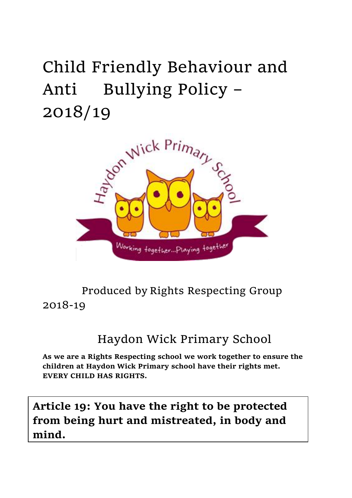# Child Friendly Behaviour and Anti Bullying Policy – 2018/19



Produced by Rights Respecting Group 2018-19

## Haydon Wick Primary School

**As we are a Rights Respecting school we work together to ensure the children at Haydon Wick Primary school have their rights met. EVERY CHILD HAS RIGHTS.**

**Article 19: You have the right to be protected from being hurt and mistreated, in body and mind.**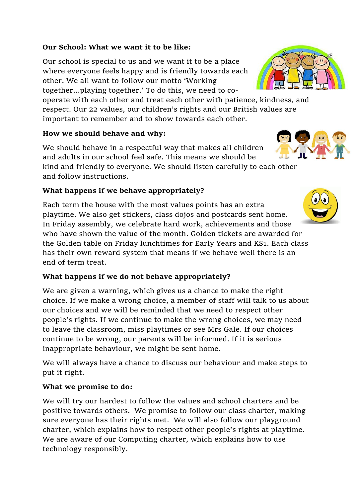#### **Our School: What we want it to be like:**

Our school is special to us and we want it to be a place where everyone feels happy and is friendly towards each other. We all want to follow our motto 'Working together…playing together.' To do this, we need to co-

operate with each other and treat each other with patience, kindness, and respect. Our 22 values, our children's rights and our British values are important to remember and to show towards each other.

#### **How we should behave and why:**

We should behave in a respectful way that makes all children and adults in our school feel safe. This means we should be kind and friendly to everyone. We should listen carefully to each other and follow instructions.

#### **What happens if we behave appropriately?**

Each term the house with the most values points has an extra playtime. We also get stickers, class dojos and postcards sent home. In Friday assembly, we celebrate hard work, achievements and those who have shown the value of the month. Golden tickets are awarded for the Golden table on Friday lunchtimes for Early Years and KS1. Each class has their own reward system that means if we behave well there is an end of term treat.

#### **What happens if we do not behave appropriately?**

We are given a warning, which gives us a chance to make the right choice. If we make a wrong choice, a member of staff will talk to us about our choices and we will be reminded that we need to respect other people's rights. If we continue to make the wrong choices, we may need to leave the classroom, miss playtimes or see Mrs Gale. If our choices continue to be wrong, our parents will be informed. If it is serious inappropriate behaviour, we might be sent home.

We will always have a chance to discuss our behaviour and make steps to put it right.

#### **What we promise to do:**

We will try our hardest to follow the values and school charters and be positive towards others. We promise to follow our class charter, making sure everyone has their rights met. We will also follow our playground charter, which explains how to respect other people's rights at playtime. We are aware of our Computing charter, which explains how to use technology responsibly.



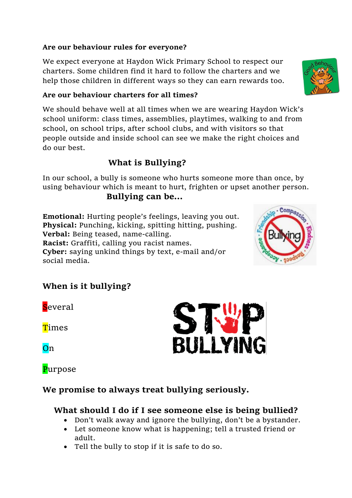#### **Are our behaviour rules for everyone?**

We expect everyone at Haydon Wick Primary School to respect our charters. Some children find it hard to follow the charters and we help those children in different ways so they can earn rewards too.

#### **Are our behaviour charters for all times?**

We should behave well at all times when we are wearing Haydon Wick's school uniform: class times, assemblies, playtimes, walking to and from school, on school trips, after school clubs, and with visitors so that people outside and inside school can see we make the right choices and do our best.

#### **What is Bullying?**

In our school, a bully is someone who hurts someone more than once, by using behaviour which is meant to hurt, frighten or upset another person.

#### **Bullying can be…**

**Emotional:** Hurting people's feelings, leaving you out. **Physical:** Punching, kicking, spitting hitting, pushing. **Verbal:** Being teased, name-calling. **Racist:** Graffiti, calling you racist names. **Cyber:** saying unkind things by text, e-mail and/or social media.



#### **When is it bullying?**

**S**everal

**T**imes

**On** 

### **Purpose**



#### **We promise to always treat bullying seriously.**

#### **What should I do if I see someone else is being bullied?**

- Don't walk away and ignore the bullying, don't be a bystander.
- Let someone know what is happening; tell a trusted friend or adult.
- Tell the bully to stop if it is safe to do so.

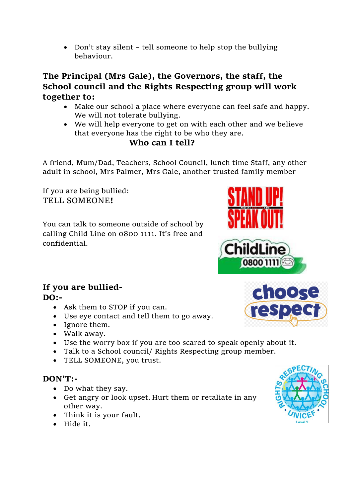• Don't stay silent – tell someone to help stop the bullying behaviour.

**The Principal (Mrs Gale), the Governors, the staff, the School council and the Rights Respecting group will work together to:**

- Make our school a place where everyone can feel safe and happy. We will not tolerate bullying.
- We will help everyone to get on with each other and we believe that everyone has the right to be who they are.

#### **Who can I tell?**

A friend, Mum/Dad, Teachers, School Council, lunch time Staff, any other adult in school, Mrs Palmer, Mrs Gale, another trusted family member

If you are being bullied: TELL SOMEONE**!**

You can talk to someone outside of school by calling Child Line on 0800 1111. It's free and confidential.

#### **If you are bullied-DO:-**

- Ask them to STOP if you can.
- Use eye contact and tell them to go away.
- Ignore them.
- Walk away.
- Use the worry box if you are too scared to speak openly about it.
- Talk to a School council/ Rights Respecting group member.
- TELL SOMEONE, you trust.

#### **DON'T:-**

- Do what they say.
- Get angry or look upset. Hurt them or retaliate in any other way.
- Think it is your fault.
- Hide it.